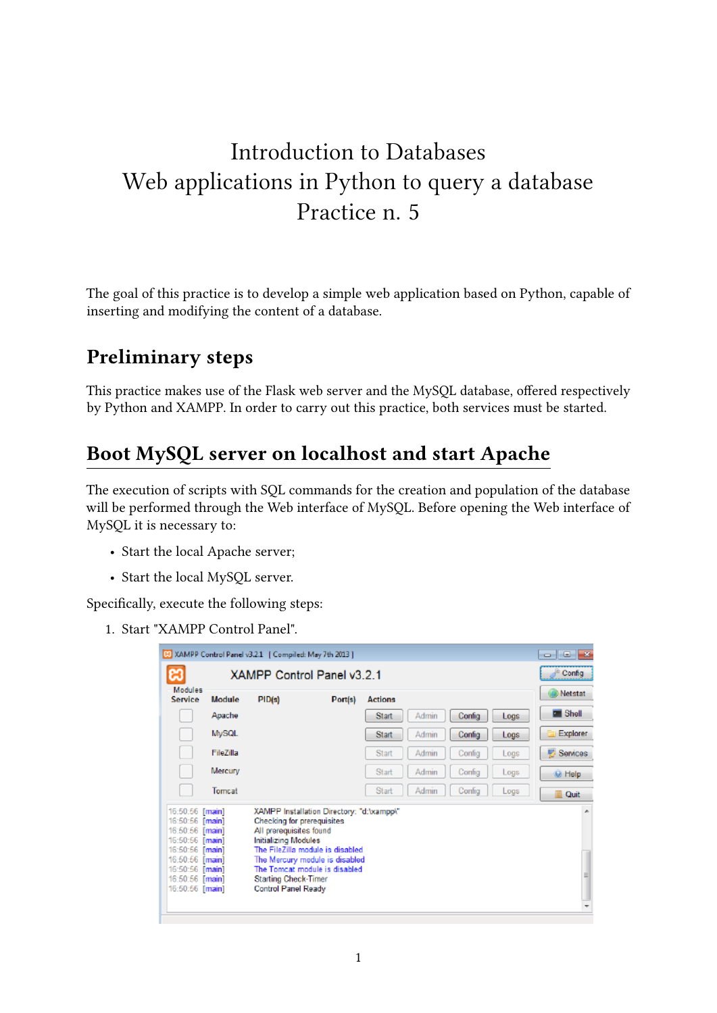# Introduction to Databases Web applications in Python to query a database Practice n. 5

The goal of this practice is to develop a simple web application based on Python, capable of inserting and modifying the content of a database.

### **Preliminary steps**

This practice makes use of the Flask web server and the MySQL database, offered respectively by Python and XAMPP. In order to carry out this practice, both services must be started.

### **Boot MySQL server on localhost and start Apache**

The execution of scripts with SQL commands for the creation and population of the database will be performed through the Web interface of MySQL. Before opening the Web interface of MySQL it is necessary to:

- Start the local Apache server;
- Start the local MySQL server.

Specifically, execute the following steps:

1. Start "XAMPP Control Panel".

| [8] XAMPP Control Panel v3.2.1 [ Compiled: May 7th 2013 ]<br>$\mathbf{x}$<br>---                                                                                        |                            |                                                                                                                                            |                                                                                                                                                   |                |       |        |      |               |
|-------------------------------------------------------------------------------------------------------------------------------------------------------------------------|----------------------------|--------------------------------------------------------------------------------------------------------------------------------------------|---------------------------------------------------------------------------------------------------------------------------------------------------|----------------|-------|--------|------|---------------|
| æ                                                                                                                                                                       | XAMPP Control Panel v3.2.1 |                                                                                                                                            |                                                                                                                                                   |                |       |        |      | Config        |
| Modules<br>Service                                                                                                                                                      | Module                     | PID(s)                                                                                                                                     | Port(s)                                                                                                                                           | <b>Actions</b> |       |        |      | Netstat       |
|                                                                                                                                                                         | Apache                     |                                                                                                                                            |                                                                                                                                                   | <b>Start</b>   | Admin | Config | Logs | Shell         |
|                                                                                                                                                                         | <b>MySQL</b>               |                                                                                                                                            |                                                                                                                                                   | <b>Start</b>   | Admin | Config | Logs | Explorer      |
|                                                                                                                                                                         | FileZilla                  |                                                                                                                                            |                                                                                                                                                   | <b>Start</b>   | Admin | Config | Logs | Ð<br>Services |
|                                                                                                                                                                         | Mercury                    |                                                                                                                                            |                                                                                                                                                   | Start          | Admin | Config | Logs | <b>M</b> Help |
|                                                                                                                                                                         | Tomcat                     |                                                                                                                                            |                                                                                                                                                   | <b>Start</b>   | Admin | Config | Logs | Quit<br>a.    |
| 16:50:56 [main]<br>16:50:56 [main]<br>16:50:56 [main]<br>16:50:56 [main]<br>16:50:56 [main]<br>16:50:56 [main]<br>16:50:56 [main]<br>16:50:56 [main]<br>16:50:56 [main] |                            | Checking for prerequisites<br>All prerequisites found<br>Initializing Modules<br><b>Starting Check-Timer</b><br><b>Control Panel Ready</b> | XAMPP Installation Directory: "d:'vxampp\"<br>The FileZilla module is disabled<br>The Mercury module is disabled<br>The Tomcat module is disabled |                |       |        |      | ×.<br>≡       |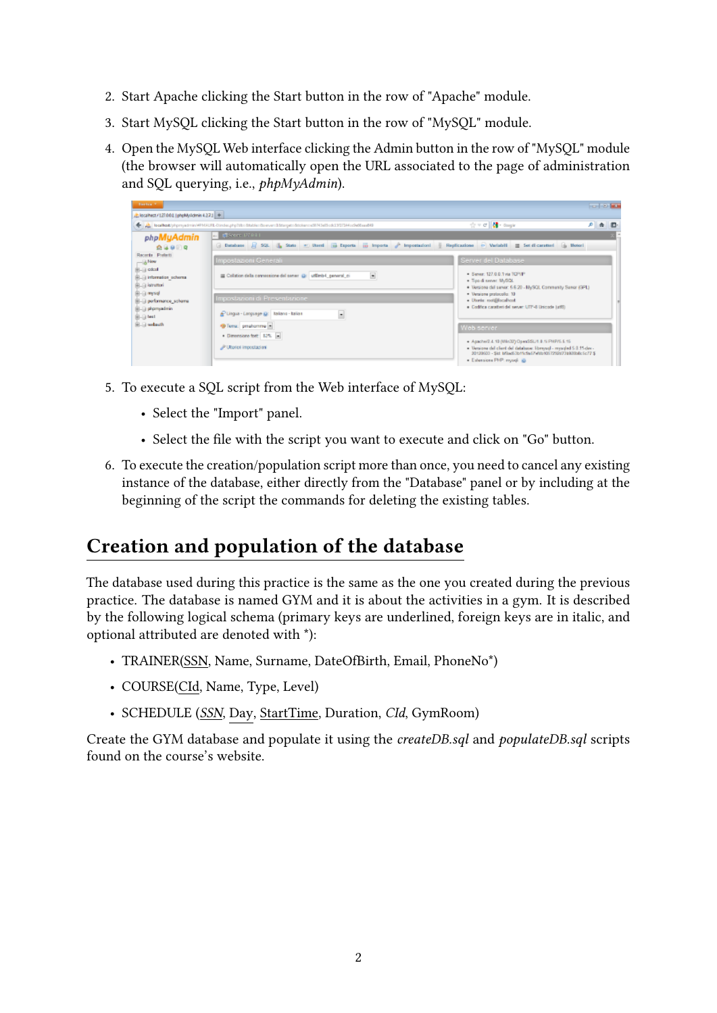- 2. Start Apache clicking the Start button in the row of "Apache" module.
- 3. Start MySQL clicking the Start button in the row of "MySQL" module.
- 4. Open the MySQL Web interface clicking the Admin button in the row of "MySQL" module (the browser will automatically open the URL associated to the page of administration and SQL querying, i.e., *phpMyAdmin*).

| <b>Burlock C</b>                                                                                                                                           |                                                                                                                                                                                                                  |                                                                                                                                                                                                                                                                  | <b>Ford of Man</b> |  |
|------------------------------------------------------------------------------------------------------------------------------------------------------------|------------------------------------------------------------------------------------------------------------------------------------------------------------------------------------------------------------------|------------------------------------------------------------------------------------------------------------------------------------------------------------------------------------------------------------------------------------------------------------------|--------------------|--|
| 2. localhest / 127.0.0.1 (phpMyAdmin 4.2.7.1 +                                                                                                             |                                                                                                                                                                                                                  |                                                                                                                                                                                                                                                                  |                    |  |
|                                                                                                                                                            | Totalkark/phpmyadmin/#PMAURL-Dindecphp?dbc-öttider/dtrevers18dangets/blokense0FA1985cdc1997344cd966aad49                                                                                                         | ☆ v di M + 6mgk                                                                                                                                                                                                                                                  | 户 会 四              |  |
| phpMyAdmin                                                                                                                                                 | $-$ 038668 07931                                                                                                                                                                                                 |                                                                                                                                                                                                                                                                  |                    |  |
| 会导航回电                                                                                                                                                      | G Database R 501 & State = Uterd Went Deports W Imports P Importantori & Replicazione o Variabili E Set di caratteri & Motori                                                                                    |                                                                                                                                                                                                                                                                  |                    |  |
| Recents Preferiti<br>$-3$ New<br>B-B otol<br>BLB information schema<br>BLD istruttori<br>B-a mysel<br>B-B performance_schama<br>B-B phpmyadmin<br>B-B test | Impostazioni Generali<br>$\bullet$<br>Collation della connessione del server (2) utilimis4 general ci<br>Impostazioni di Presentazione<br>Clingua - Language (g): Italiano - Italian<br>$\overline{\phantom{a}}$ | Server del Database<br>. Sever: 127.0.0.1 via TCP/IP<br>. Tipo di server. MySQL<br>. Versiona del server: 5.6.20 - MySQL Community Sanar (GPL)<br>* Versione protocollo: 10<br>- Utente: root@localhost<br>· Codifica caratteri del server: UTF-8 Unicode (utf0) |                    |  |
| B. a webauth                                                                                                                                               | *D Tema: preahomme in<br>. Dimensione fort: 52% =<br>Ultoriori impostazioni                                                                                                                                      | Web server<br>+ Apache/2.4.10 (Wn32) OpenSSL/1.8.1LPHP/5.5.15<br>. Versione del client del detabase: libraya di - masadad 5.0.11-dec-<br>20120503 - Sid: Mixd53b11c9a57wtb1057292d73b92lbBc5c77 \$<br>· Estensione PHP: mysql @                                  |                    |  |

- 5. To execute a SQL script from the Web interface of MySQL:
	- Select the "Import" panel.
	- Select the file with the script you want to execute and click on "Go" button.
- 6. To execute the creation/population script more than once, you need to cancel any existing instance of the database, either directly from the "Database" panel or by including at the beginning of the script the commands for deleting the existing tables.

## **Creation and population of the database**

The database used during this practice is the same as the one you created during the previous practice. The database is named GYM and it is about the activities in a gym. It is described by the following logical schema (primary keys are underlined, foreign keys are in italic, and optional attributed are denoted with \*):

- TRAINER(SSN, Name, Surname, DateOfBirth, Email, PhoneNo\*)
- COURSE(CId, Name, Type, Level)
- SCHEDULE (*SSN*, Day, StartTime, Duration, *CId*, GymRoom)

Create the GYM database and populate it using the *createDB.sql* and *populateDB.sql* scripts found on the course's website.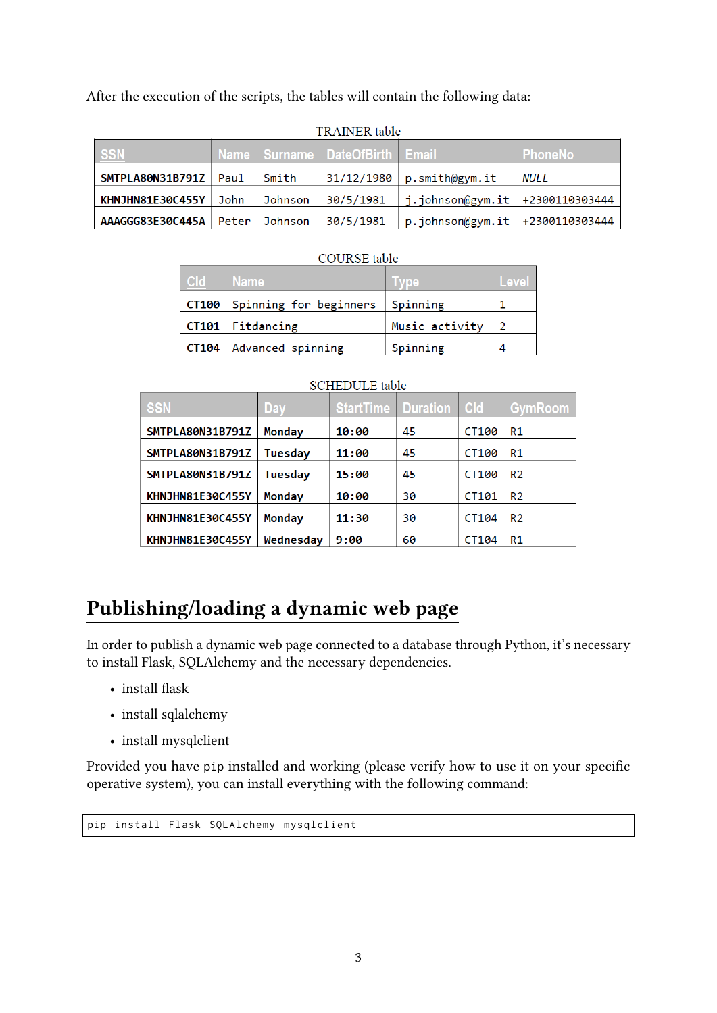After the execution of the scripts, the tables will contain the following data:

| I NAINEN taute                     |  |         |                                |                                     |             |  |
|------------------------------------|--|---------|--------------------------------|-------------------------------------|-------------|--|
| <b>SSN</b>                         |  |         | Name Surname DateOfBirth Email |                                     | ∣ PhoneNo i |  |
| SMTPLA80N31B791Z   Paul            |  | Smith   |                                | 31/12/1980   p.smith@gym.it         | <b>NULL</b> |  |
| KHNJHN81E30C455Y   John            |  | Johnson | 30/5/1981                      | $ j.johnson@gym.it  +2300110303444$ |             |  |
| AAAGGG83E30C445A   Peter   Johnson |  |         | 30/5/1981                      | $p.johnson@gym.it$ +2300110303444   |             |  |

### TRAINER table

### **COURSE** table

| C <sub>Id</sub> | <b>Name</b>            | <b>IVDe</b>    | Level |
|-----------------|------------------------|----------------|-------|
| CT100           | Spinning for beginners | Spinning       |       |
|                 | $CT101$   Fitdancing   | Music activity |       |
| CT104           | Advanced spinning      | Spinning       |       |

| <b>SSN</b>              | Day            | <b>StartTime   Duration</b> |    | <b>Cld</b> | <b>GymRoom</b> |
|-------------------------|----------------|-----------------------------|----|------------|----------------|
| SMTPLA80N31B791Z        | <b>Monday</b>  | 10:00                       | 45 | CT100      | R1             |
| SMTPLA80N31B791Z        | <b>Tuesday</b> | 11:00                       | 45 | CT100      | R1             |
| SMTPLA80N31B791Z        | Tuesdav        | 15:00                       | 45 | CT100      | R <sub>2</sub> |
| KHNJHN81E30C455Y        | Monday         | 10:00                       | 30 | CT101      | R <sub>2</sub> |
| <b>KHNJHN81E30C455Y</b> | <b>Monday</b>  | 11:30                       | 30 | CT104      | R <sub>2</sub> |
| <b>KHNJHN81E30C455Y</b> | Wednesday      | 9:00                        | 60 | CT104      | R1             |

#### **SCHEDULE** table

# **Publishing/loading a dynamic web page**

In order to publish a dynamic web page connected to a database through Python, it's necessary to install Flask, SQLAlchemy and the necessary dependencies.

- install flask
- install sqlalchemy
- install mysqlclient

Provided you have pip installed and working (please verify how to use it on your specific operative system), you can install everything with the following command:

pip install Flask SQLAlchemy mysqlclient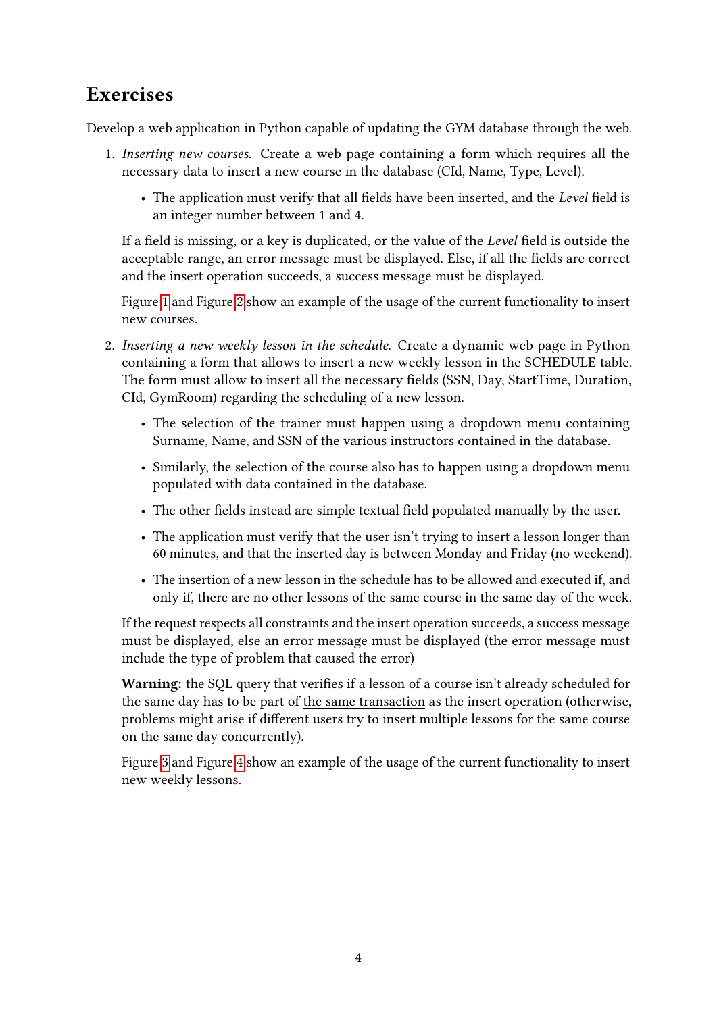## **Exercises**

Develop a web application in Python capable of updating the GYM database through the web.

- 1. *Inserting new courses.* Create a web page containing a form which requires all the necessary data to insert a new course in the database (CId, Name, Type, Level).
	- The application must verify that all fields have been inserted, and the *Level* field is an integer number between 1 and 4.

If a field is missing, or a key is duplicated, or the value of the *Level* field is outside the acceptable range, an error message must be displayed. Else, if all the fields are correct and the insert operation succeeds, a success message must be displayed.

Figure [1](#page-4-0) and Figure [2](#page-4-1) show an example of the usage of the current functionality to insert new courses.

- 2. *Inserting a new weekly lesson in the schedule.* Create a dynamic web page in Python containing a form that allows to insert a new weekly lesson in the SCHEDULE table. The form must allow to insert all the necessary fields (SSN, Day, StartTime, Duration, CId, GymRoom) regarding the scheduling of a new lesson.
	- The selection of the trainer must happen using a dropdown menu containing Surname, Name, and SSN of the various instructors contained in the database.
	- Similarly, the selection of the course also has to happen using a dropdown menu populated with data contained in the database.
	- The other fields instead are simple textual field populated manually by the user.
	- The application must verify that the user isn't trying to insert a lesson longer than 60 minutes, and that the inserted day is between Monday and Friday (no weekend).
	- The insertion of a new lesson in the schedule has to be allowed and executed if, and only if, there are no other lessons of the same course in the same day of the week.

If the request respects all constraints and the insert operation succeeds, a success message must be displayed, else an error message must be displayed (the error message must include the type of problem that caused the error)

**Warning:** the SQL query that verifies if a lesson of a course isn't already scheduled for the same day has to be part of the same transaction as the insert operation (otherwise, problems might arise if different users try to insert multiple lessons for the same course on the same day concurrently).

Figure [3](#page-4-2) and Figure [4](#page-4-3) show an example of the usage of the current functionality to insert new weekly lessons.